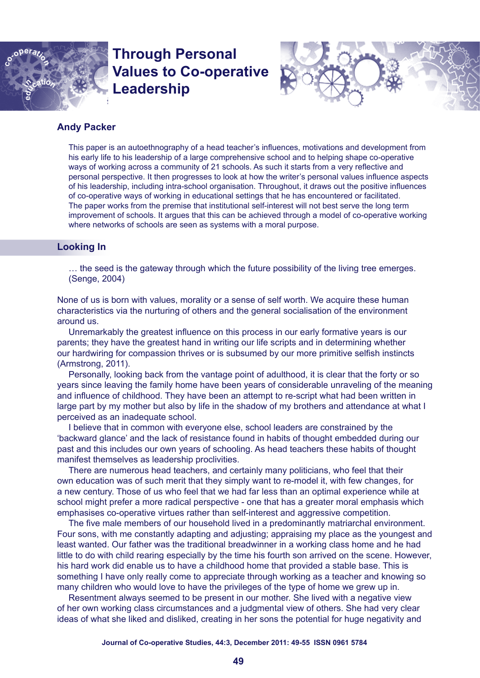

# **Through Personal Values to Co-operative Leadership**



# **Andy Packer**

This paper is an autoethnography of a head teacher's influences, motivations and development from his early life to his leadership of a large comprehensive school and to helping shape co-operative ways of working across a community of 21 schools. As such it starts from a very reflective and personal perspective. It then progresses to look at how the writer's personal values influence aspects of his leadership, including intra-school organisation. Throughout, it draws out the positive influences of co-operative ways of working in educational settings that he has encountered or facilitated. The paper works from the premise that institutional self-interest will not best serve the long term improvement of schools. It argues that this can be achieved through a model of co-operative working where networks of schools are seen as systems with a moral purpose.

## **Looking In**

… the seed is the gateway through which the future possibility of the living tree emerges. (Senge, 2004)

None of us is born with values, morality or a sense of self worth. We acquire these human characteristics via the nurturing of others and the general socialisation of the environment around us.

Unremarkably the greatest influence on this process in our early formative years is our parents; they have the greatest hand in writing our life scripts and in determining whether our hardwiring for compassion thrives or is subsumed by our more primitive selfish instincts (Armstrong, 2011).

Personally, looking back from the vantage point of adulthood, it is clear that the forty or so years since leaving the family home have been years of considerable unraveling of the meaning and influence of childhood. They have been an attempt to re-script what had been written in large part by my mother but also by life in the shadow of my brothers and attendance at what I perceived as an inadequate school.

I believe that in common with everyone else, school leaders are constrained by the 'backward glance' and the lack of resistance found in habits of thought embedded during our past and this includes our own years of schooling. As head teachers these habits of thought manifest themselves as leadership proclivities.

There are numerous head teachers, and certainly many politicians, who feel that their own education was of such merit that they simply want to re-model it, with few changes, for a new century. Those of us who feel that we had far less than an optimal experience while at school might prefer a more radical perspective - one that has a greater moral emphasis which emphasises co-operative virtues rather than self-interest and aggressive competition.

The five male members of our household lived in a predominantly matriarchal environment. Four sons, with me constantly adapting and adjusting; appraising my place as the youngest and least wanted. Our father was the traditional breadwinner in a working class home and he had little to do with child rearing especially by the time his fourth son arrived on the scene. However, his hard work did enable us to have a childhood home that provided a stable base. This is something I have only really come to appreciate through working as a teacher and knowing so many children who would love to have the privileges of the type of home we grew up in.

Resentment always seemed to be present in our mother. She lived with a negative view of her own working class circumstances and a judgmental view of others. She had very clear ideas of what she liked and disliked, creating in her sons the potential for huge negativity and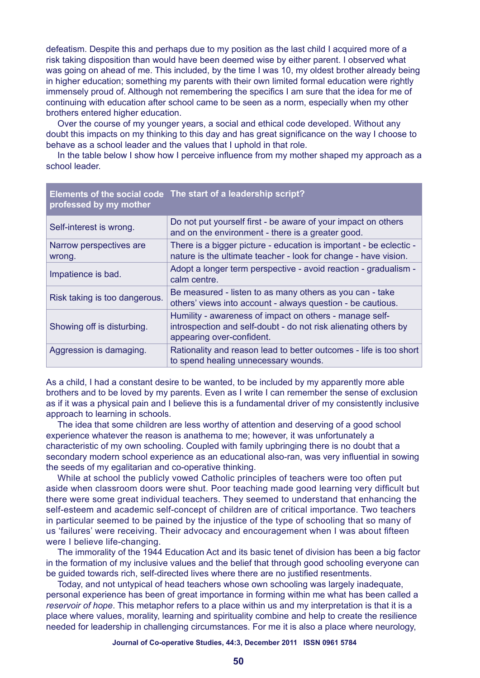defeatism. Despite this and perhaps due to my position as the last child I acquired more of a risk taking disposition than would have been deemed wise by either parent. I observed what was going on ahead of me. This included, by the time I was 10, my oldest brother already being in higher education; something my parents with their own limited formal education were rightly immensely proud of. Although not remembering the specifics I am sure that the idea for me of continuing with education after school came to be seen as a norm, especially when my other brothers entered higher education.

Over the course of my younger years, a social and ethical code developed. Without any doubt this impacts on my thinking to this day and has great significance on the way I choose to behave as a school leader and the values that I uphold in that role.

In the table below I show how I perceive influence from my mother shaped my approach as a school leader.

| professed by my mother            | Elements of the social code The start of a leadership script?                                                                                           |
|-----------------------------------|---------------------------------------------------------------------------------------------------------------------------------------------------------|
| Self-interest is wrong.           | Do not put yourself first - be aware of your impact on others<br>and on the environment - there is a greater good.                                      |
| Narrow perspectives are<br>wrong. | There is a bigger picture - education is important - be eclectic -<br>nature is the ultimate teacher - look for change - have vision.                   |
| Impatience is bad.                | Adopt a longer term perspective - avoid reaction - gradualism -<br>calm centre.                                                                         |
| Risk taking is too dangerous.     | Be measured - listen to as many others as you can - take<br>others' views into account - always question - be cautious.                                 |
| Showing off is disturbing.        | Humility - awareness of impact on others - manage self-<br>introspection and self-doubt - do not risk alienating others by<br>appearing over-confident. |
| Aggression is damaging.           | Rationality and reason lead to better outcomes - life is too short<br>to spend healing unnecessary wounds.                                              |

As a child, I had a constant desire to be wanted, to be included by my apparently more able brothers and to be loved by my parents. Even as I write I can remember the sense of exclusion as if it was a physical pain and I believe this is a fundamental driver of my consistently inclusive approach to learning in schools.

The idea that some children are less worthy of attention and deserving of a good school experience whatever the reason is anathema to me; however, it was unfortunately a characteristic of my own schooling. Coupled with family upbringing there is no doubt that a secondary modern school experience as an educational also-ran, was very influential in sowing the seeds of my egalitarian and co-operative thinking.

While at school the publicly vowed Catholic principles of teachers were too often put aside when classroom doors were shut. Poor teaching made good learning very difficult but there were some great individual teachers. They seemed to understand that enhancing the self-esteem and academic self-concept of children are of critical importance. Two teachers in particular seemed to be pained by the injustice of the type of schooling that so many of us 'failures' were receiving. Their advocacy and encouragement when I was about fifteen were I believe life-changing.

The immorality of the 1944 Education Act and its basic tenet of division has been a big factor in the formation of my inclusive values and the belief that through good schooling everyone can be guided towards rich, self-directed lives where there are no justified resentments.

Today, and not untypical of head teachers whose own schooling was largely inadequate, personal experience has been of great importance in forming within me what has been called a *reservoir of hope*. This metaphor refers to a place within us and my interpretation is that it is a place where values, morality, learning and spirituality combine and help to create the resilience needed for leadership in challenging circumstances. For me it is also a place where neurology,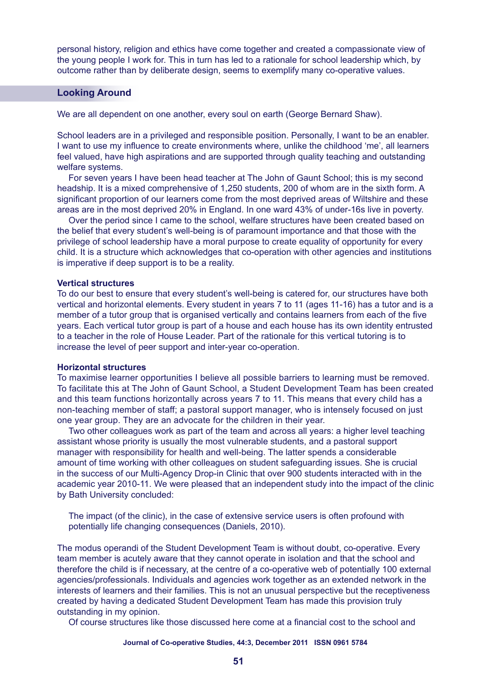personal history, religion and ethics have come together and created a compassionate view of the young people I work for. This in turn has led to a rationale for school leadership which, by outcome rather than by deliberate design, seems to exemplify many co-operative values.

## **Looking Around**

We are all dependent on one another, every soul on earth (George Bernard Shaw).

School leaders are in a privileged and responsible position. Personally, I want to be an enabler. I want to use my influence to create environments where, unlike the childhood 'me', all learners feel valued, have high aspirations and are supported through quality teaching and outstanding welfare systems.

For seven years I have been head teacher at The John of Gaunt School; this is my second headship. It is a mixed comprehensive of 1,250 students, 200 of whom are in the sixth form. A significant proportion of our learners come from the most deprived areas of Wiltshire and these areas are in the most deprived 20% in England. In one ward 43% of under-16s live in poverty.

Over the period since I came to the school, welfare structures have been created based on the belief that every student's well-being is of paramount importance and that those with the privilege of school leadership have a moral purpose to create equality of opportunity for every child. It is a structure which acknowledges that co-operation with other agencies and institutions is imperative if deep support is to be a reality.

#### **Vertical structures**

To do our best to ensure that every student's well-being is catered for, our structures have both vertical and horizontal elements. Every student in years 7 to 11 (ages 11-16) has a tutor and is a member of a tutor group that is organised vertically and contains learners from each of the five years. Each vertical tutor group is part of a house and each house has its own identity entrusted to a teacher in the role of House Leader. Part of the rationale for this vertical tutoring is to increase the level of peer support and inter-year co-operation.

#### **Horizontal structures**

To maximise learner opportunities I believe all possible barriers to learning must be removed. To facilitate this at The John of Gaunt School, a Student Development Team has been created and this team functions horizontally across years 7 to 11. This means that every child has a non-teaching member of staff; a pastoral support manager, who is intensely focused on just one year group. They are an advocate for the children in their year.

Two other colleagues work as part of the team and across all years: a higher level teaching assistant whose priority is usually the most vulnerable students, and a pastoral support manager with responsibility for health and well-being. The latter spends a considerable amount of time working with other colleagues on student safeguarding issues. She is crucial in the success of our Multi-Agency Drop-in Clinic that over 900 students interacted with in the academic year 2010-11. We were pleased that an independent study into the impact of the clinic by Bath University concluded:

The impact (of the clinic), in the case of extensive service users is often profound with potentially life changing consequences (Daniels, 2010).

The modus operandi of the Student Development Team is without doubt, co-operative. Every team member is acutely aware that they cannot operate in isolation and that the school and therefore the child is if necessary, at the centre of a co-operative web of potentially 100 external agencies/professionals. Individuals and agencies work together as an extended network in the interests of learners and their families. This is not an unusual perspective but the receptiveness created by having a dedicated Student Development Team has made this provision truly outstanding in my opinion.

Of course structures like those discussed here come at a financial cost to the school and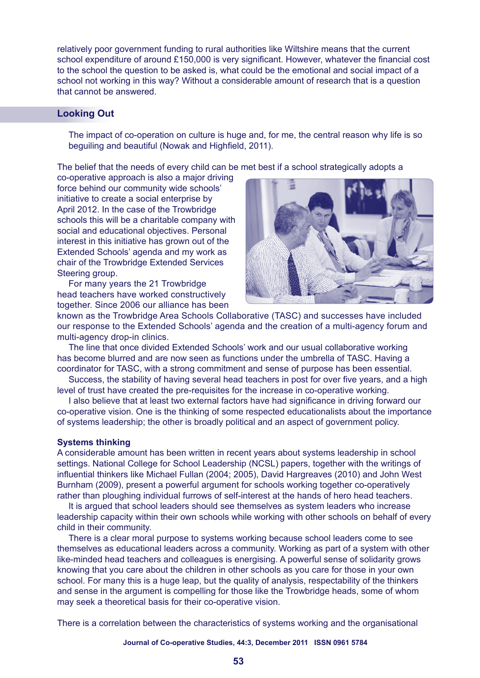relatively poor government funding to rural authorities like Wiltshire means that the current school expenditure of around £150,000 is very significant. However, whatever the financial cost to the school the question to be asked is, what could be the emotional and social impact of a school not working in this way? Without a considerable amount of research that is a question that cannot be answered.

## **Looking Out**

The impact of co-operation on culture is huge and, for me, the central reason why life is so beguiling and beautiful (Nowak and Highfield, 2011).

The belief that the needs of every child can be met best if a school strategically adopts a

co-operative approach is also a major driving force behind our community wide schools' initiative to create a social enterprise by April 2012. In the case of the Trowbridge schools this will be a charitable company with social and educational objectives. Personal interest in this initiative has grown out of the Extended Schools' agenda and my work as chair of the Trowbridge Extended Services Steering group.

For many years the 21 Trowbridge head teachers have worked constructively together. Since 2006 our alliance has been



known as the Trowbridge Area Schools Collaborative (TASC) and successes have included our response to the Extended Schools' agenda and the creation of a multi-agency forum and multi-agency drop-in clinics.

The line that once divided Extended Schools' work and our usual collaborative working has become blurred and are now seen as functions under the umbrella of TASC. Having a coordinator for TASC, with a strong commitment and sense of purpose has been essential.

Success, the stability of having several head teachers in post for over five years, and a high level of trust have created the pre-requisites for the increase in co-operative working.

I also believe that at least two external factors have had significance in driving forward our co-operative vision. One is the thinking of some respected educationalists about the importance of systems leadership; the other is broadly political and an aspect of government policy.

#### **Systems thinking**

A considerable amount has been written in recent years about systems leadership in school settings. National College for School Leadership (NCSL) papers, together with the writings of influential thinkers like Michael Fullan (2004; 2005), David Hargreaves (2010) and John West Burnham (2009), present a powerful argument for schools working together co-operatively rather than ploughing individual furrows of self-interest at the hands of hero head teachers.

It is argued that school leaders should see themselves as system leaders who increase leadership capacity within their own schools while working with other schools on behalf of every child in their community.

There is a clear moral purpose to systems working because school leaders come to see themselves as educational leaders across a community. Working as part of a system with other like-minded head teachers and colleagues is energising. A powerful sense of solidarity grows knowing that you care about the children in other schools as you care for those in your own school. For many this is a huge leap, but the quality of analysis, respectability of the thinkers and sense in the argument is compelling for those like the Trowbridge heads, some of whom may seek a theoretical basis for their co-operative vision.

There is a correlation between the characteristics of systems working and the organisational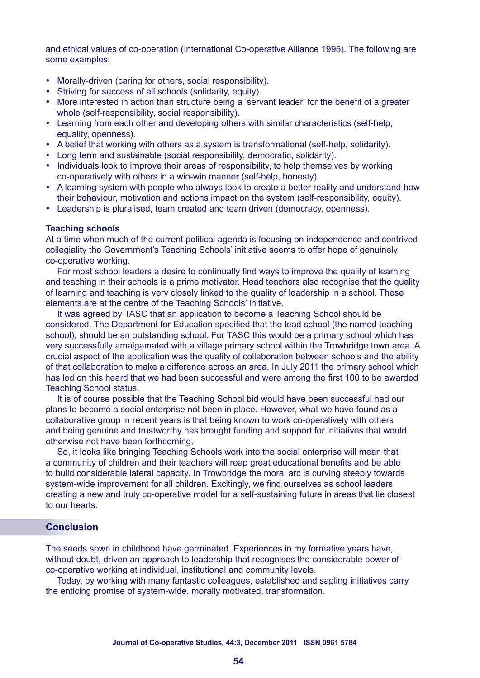and ethical values of co-operation (International Co-operative Alliance 1995). The following are some examples:

- Morally-driven (caring for others, social responsibility).
- Striving for success of all schools (solidarity, equity).
- • More interested in action than structure being a 'servant leader' for the benefit of a greater whole (self-responsibility, social responsibility).
- Learning from each other and developing others with similar characteristics (self-help, equality, openness).
- • A belief that working with others as a system is transformational (self-help, solidarity).
- Long term and sustainable (social responsibility, democratic, solidarity).
- Individuals look to improve their areas of responsibility, to help themselves by working co-operatively with others in a win-win manner (self-help, honesty).
- A learning system with people who always look to create a better reality and understand how their behaviour, motivation and actions impact on the system (self-responsibility, equity).
- Leadership is pluralised, team created and team driven (democracy, openness).

#### **Teaching schools**

At a time when much of the current political agenda is focusing on independence and contrived collegiality the Government's Teaching Schools' initiative seems to offer hope of genuinely co-operative working.

For most school leaders a desire to continually find ways to improve the quality of learning and teaching in their schools is a prime motivator. Head teachers also recognise that the quality of learning and teaching is very closely linked to the quality of leadership in a school. These elements are at the centre of the Teaching Schools' initiative.

It was agreed by TASC that an application to become a Teaching School should be considered. The Department for Education specified that the lead school (the named teaching school), should be an outstanding school. For TASC this would be a primary school which has very successfully amalgamated with a village primary school within the Trowbridge town area. A crucial aspect of the application was the quality of collaboration between schools and the ability of that collaboration to make a difference across an area. In July 2011 the primary school which has led on this heard that we had been successful and were among the first 100 to be awarded Teaching School status.

It is of course possible that the Teaching School bid would have been successful had our plans to become a social enterprise not been in place. However, what we have found as a collaborative group in recent years is that being known to work co-operatively with others and being genuine and trustworthy has brought funding and support for initiatives that would otherwise not have been forthcoming.

So, it looks like bringing Teaching Schools work into the social enterprise will mean that a community of children and their teachers will reap great educational benefits and be able to build considerable lateral capacity. In Trowbridge the moral arc is curving steeply towards system-wide improvement for all children. Excitingly, we find ourselves as school leaders creating a new and truly co-operative model for a self-sustaining future in areas that lie closest to our hearts.

### **Conclusion**

The seeds sown in childhood have germinated. Experiences in my formative years have, without doubt, driven an approach to leadership that recognises the considerable power of co-operative working at individual, institutional and community levels.

Today, by working with many fantastic colleagues, established and sapling initiatives carry the enticing promise of system-wide, morally motivated, transformation.